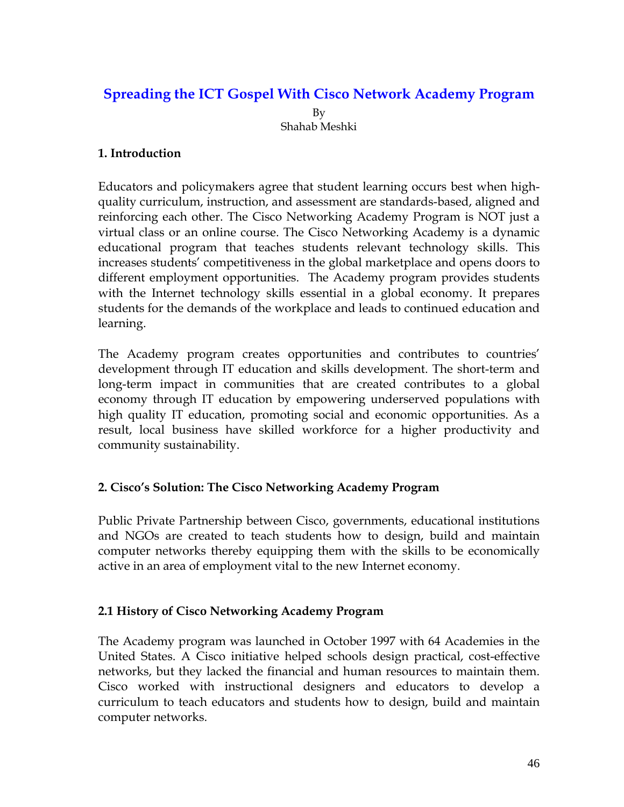# **Spreading the ICT Gospel With Cisco Network Academy Program**  By Shahab Meshki

## **1. Introduction**

Educators and policymakers agree that student learning occurs best when highquality curriculum, instruction, and assessment are standards-based, aligned and reinforcing each other. The Cisco Networking Academy Program is NOT just a virtual class or an online course. The Cisco Networking Academy is a dynamic educational program that teaches students relevant technology skills. This increases students' competitiveness in the global marketplace and opens doors to different employment opportunities. The Academy program provides students with the Internet technology skills essential in a global economy. It prepares students for the demands of the workplace and leads to continued education and learning.

The Academy program creates opportunities and contributes to countries' development through IT education and skills development. The short-term and long-term impact in communities that are created contributes to a global economy through IT education by empowering underserved populations with high quality IT education, promoting social and economic opportunities. As a result, local business have skilled workforce for a higher productivity and community sustainability.

## **2. Cisco's Solution: The Cisco Networking Academy Program**

Public Private Partnership between Cisco, governments, educational institutions and NGOs are created to teach students how to design, build and maintain computer networks thereby equipping them with the skills to be economically active in an area of employment vital to the new Internet economy.

#### **2.1 History of Cisco Networking Academy Program**

The Academy program was launched in October 1997 with 64 Academies in the United States. A Cisco initiative helped schools design practical, cost-effective networks, but they lacked the financial and human resources to maintain them. Cisco worked with instructional designers and educators to develop a curriculum to teach educators and students how to design, build and maintain computer networks.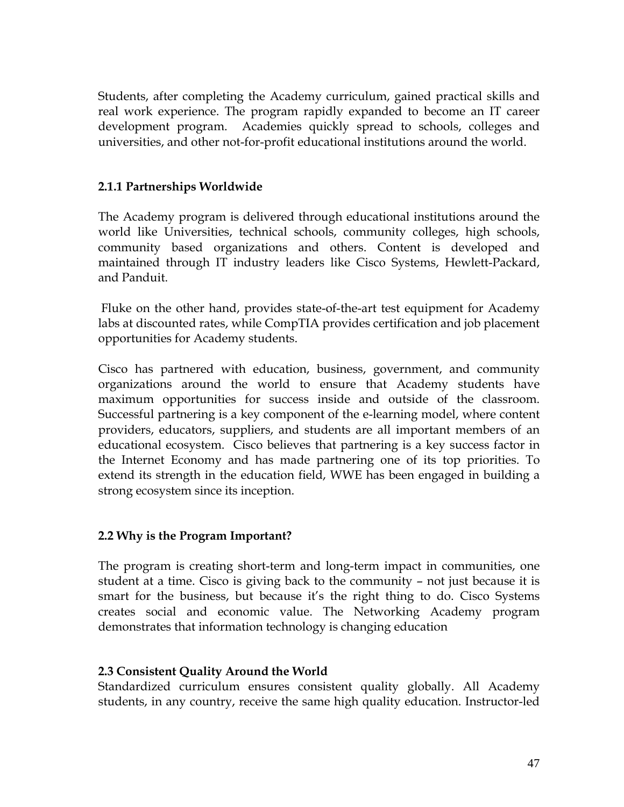Students, after completing the Academy curriculum, gained practical skills and real work experience. The program rapidly expanded to become an IT career development program. Academies quickly spread to schools, colleges and universities, and other not-for-profit educational institutions around the world.

## **2.1.1 Partnerships Worldwide**

The Academy program is delivered through educational institutions around the world like Universities, technical schools, community colleges, high schools, community based organizations and others. Content is developed and maintained through IT industry leaders like Cisco Systems, Hewlett-Packard, and Panduit.

Fluke on the other hand, provides state-of-the-art test equipment for Academy labs at discounted rates, while CompTIA provides certification and job placement opportunities for Academy students.

Cisco has partnered with education, business, government, and community organizations around the world to ensure that Academy students have maximum opportunities for success inside and outside of the classroom. Successful partnering is a key component of the e-learning model, where content providers, educators, suppliers, and students are all important members of an educational ecosystem. Cisco believes that partnering is a key success factor in the Internet Economy and has made partnering one of its top priorities. To extend its strength in the education field, WWE has been engaged in building a strong ecosystem since its inception.

#### **2.2 Why is the Program Important?**

The program is creating short-term and long-term impact in communities, one student at a time. Cisco is giving back to the community – not just because it is smart for the business, but because it's the right thing to do. Cisco Systems creates social and economic value. The Networking Academy program demonstrates that information technology is changing education

#### **2.3 Consistent Quality Around the World**

Standardized curriculum ensures consistent quality globally. All Academy students, in any country, receive the same high quality education. Instructor-led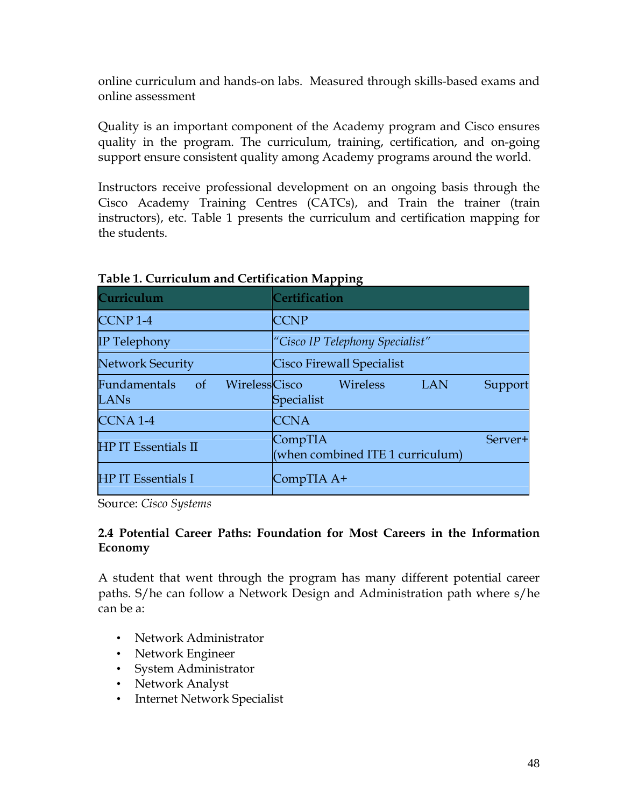online curriculum and hands-on labs. Measured through skills-based exams and online assessment

Quality is an important component of the Academy program and Cisco ensures quality in the program. The curriculum, training, certification, and on-going support ensure consistent quality among Academy programs around the world.

Instructors receive professional development on an ongoing basis through the Cisco Academy Training Centres (CATCs), and Train the trainer (train instructors), etc. Table 1 presents the curriculum and certification mapping for the students.

| Curriculum                         | <b>Certification</b>                                             |
|------------------------------------|------------------------------------------------------------------|
| CCNP <sub>1-4</sub>                | <b>CCNP</b>                                                      |
| <b>IP</b> Telephony                | "Cisco IP Telephony Specialist"                                  |
| <b>Network Security</b>            | <b>Cisco Firewall Specialist</b>                                 |
| $\sigma f$<br>Fundamentals<br>LANs | WirelessCisco<br>Wireless<br><b>LAN</b><br>Support<br>Specialist |
| <b>CCNA1-4</b>                     | <b>CCNA</b>                                                      |
| <b>HP IT Essentials II</b>         | CompTIA<br>Server+<br>(when combined ITE 1 curriculum)           |
| <b>HP IT Essentials I</b>          | CompTIA A+                                                       |

**Table 1. Curriculum and Certification Mapping**

Source: *Cisco Systems*

#### **2.4 Potential Career Paths: Foundation for Most Careers in the Information Economy**

A student that went through the program has many different potential career paths. S/he can follow a Network Design and Administration path where s/he can be a:

- Network Administrator
- Network Engineer
- System Administrator
- Network Analyst
- Internet Network Specialist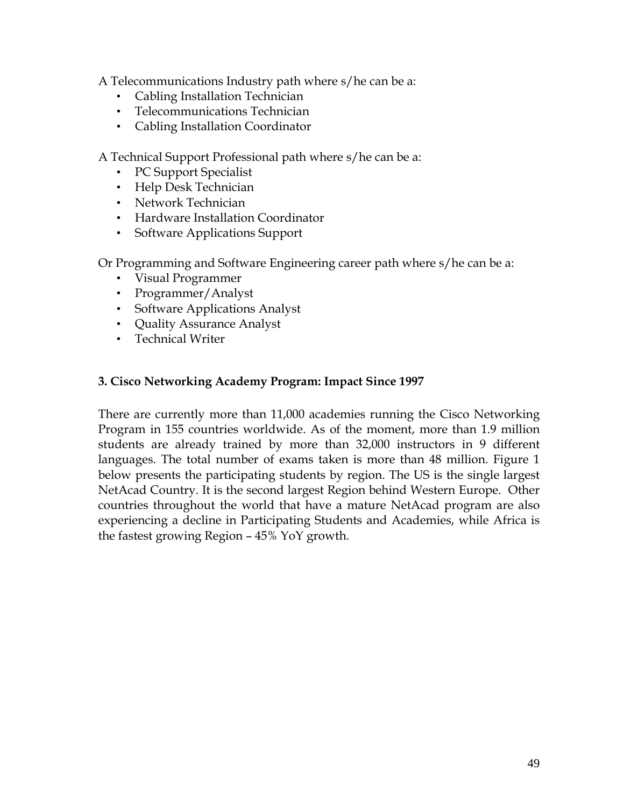A Telecommunications Industry path where s/he can be a:

- Cabling Installation Technician
- Telecommunications Technician
- Cabling Installation Coordinator

A Technical Support Professional path where s/he can be a:

- PC Support Specialist
- Help Desk Technician
- Network Technician
- Hardware Installation Coordinator
- Software Applications Support

Or Programming and Software Engineering career path where s/he can be a:

- Visual Programmer
- Programmer/Analyst
- Software Applications Analyst
- Quality Assurance Analyst
- Technical Writer

#### **3. Cisco Networking Academy Program: Impact Since 1997**

There are currently more than 11,000 academies running the Cisco Networking Program in 155 countries worldwide. As of the moment, more than 1.9 million students are already trained by more than 32,000 instructors in 9 different languages. The total number of exams taken is more than 48 million. Figure 1 below presents the participating students by region. The US is the single largest NetAcad Country. It is the second largest Region behind Western Europe. Other countries throughout the world that have a mature NetAcad program are also experiencing a decline in Participating Students and Academies, while Africa is the fastest growing Region – 45% YoY growth.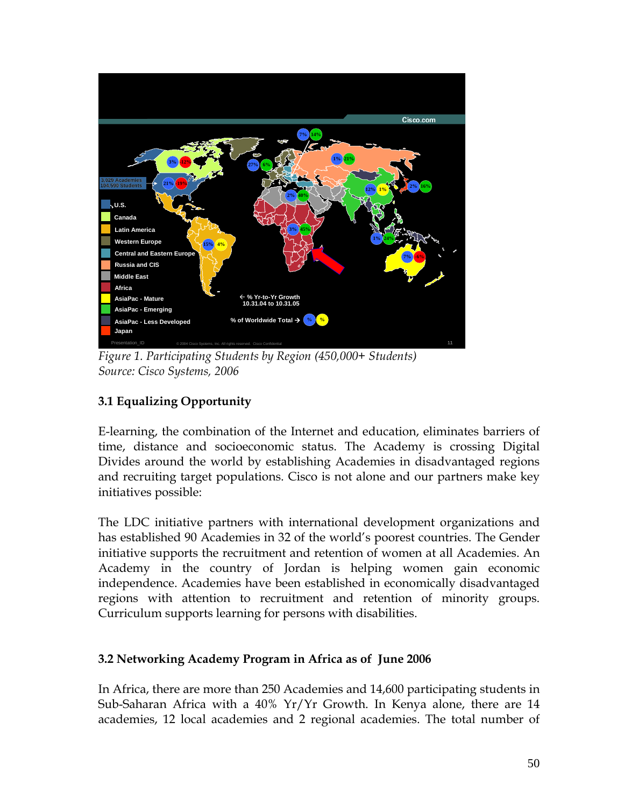

*Figure 1. Participating Students by Region (450,000+ Students) Source: Cisco Systems, 2006* 

# **3.1 Equalizing Opportunity**

E-learning, the combination of the Internet and education, eliminates barriers of time, distance and socioeconomic status. The Academy is crossing Digital Divides around the world by establishing Academies in disadvantaged regions and recruiting target populations. Cisco is not alone and our partners make key initiatives possible:

The LDC initiative partners with international development organizations and has established 90 Academies in 32 of the world's poorest countries. The Gender initiative supports the recruitment and retention of women at all Academies. An Academy in the country of Jordan is helping women gain economic independence. Academies have been established in economically disadvantaged regions with attention to recruitment and retention of minority groups. Curriculum supports learning for persons with disabilities.

# **3.2 Networking Academy Program in Africa as of June 2006**

In Africa, there are more than 250 Academies and 14,600 participating students in Sub-Saharan Africa with a 40% Yr/Yr Growth. In Kenya alone, there are 14 academies, 12 local academies and 2 regional academies. The total number of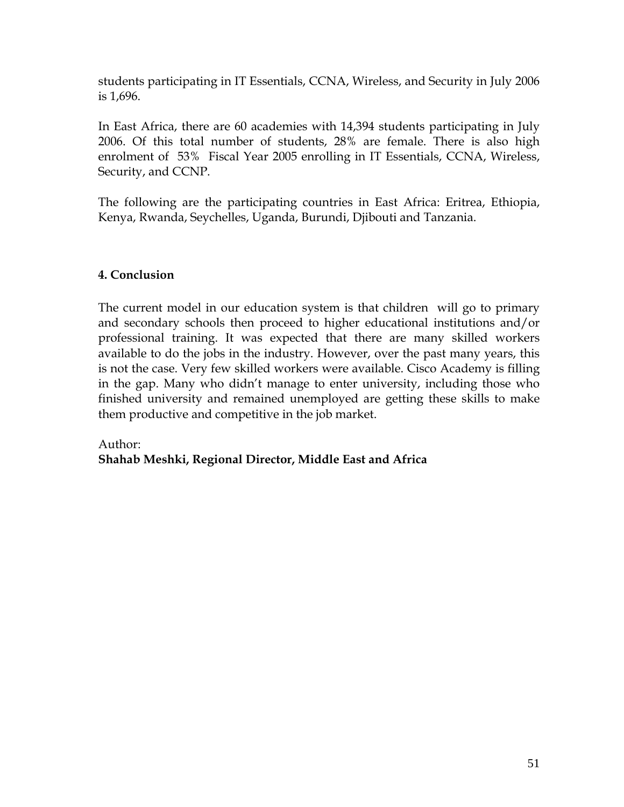students participating in IT Essentials, CCNA, Wireless, and Security in July 2006 is 1,696.

In East Africa, there are 60 academies with 14,394 students participating in July 2006. Of this total number of students, 28% are female. There is also high enrolment of 53% Fiscal Year 2005 enrolling in IT Essentials, CCNA, Wireless, Security, and CCNP.

The following are the participating countries in East Africa: Eritrea, Ethiopia, Kenya, Rwanda, Seychelles, Uganda, Burundi, Djibouti and Tanzania.

# **4. Conclusion**

The current model in our education system is that children will go to primary and secondary schools then proceed to higher educational institutions and/or professional training. It was expected that there are many skilled workers available to do the jobs in the industry. However, over the past many years, this is not the case. Very few skilled workers were available. Cisco Academy is filling in the gap. Many who didn't manage to enter university, including those who finished university and remained unemployed are getting these skills to make them productive and competitive in the job market.

## Author: **Shahab Meshki, Regional Director, Middle East and Africa**